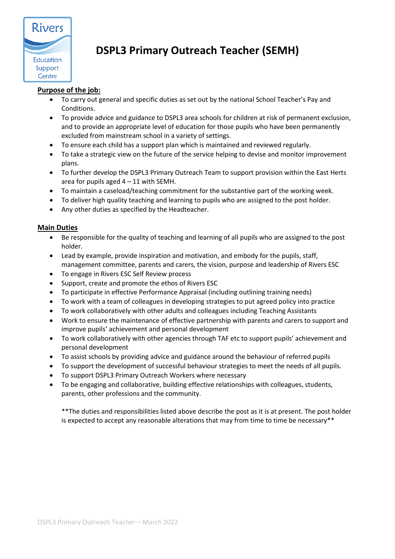

# **DSPL3 Primary Outreach Teacher (SEMH)**

# **Purpose of the job:**

- To carry out general and specific duties as set out by the national School Teacher's Pay and Conditions.
- To provide advice and guidance to DSPL3 area schools for children at risk of permanent exclusion, and to provide an appropriate level of education for those pupils who have been permanently excluded from mainstream school in a variety of settings.
- To ensure each child has a support plan which is maintained and reviewed regularly.
- To take a strategic view on the future of the service helping to devise and monitor improvement plans.
- To further develop the DSPL3 Primary Outreach Team to support provision within the East Herts area for pupils aged  $4 - 11$  with SEMH.
- To maintain a caseload/teaching commitment for the substantive part of the working week.
- To deliver high quality teaching and learning to pupils who are assigned to the post holder.
- Any other duties as specified by the Headteacher.

## **Main Duties**

- Be responsible for the quality of teaching and learning of all pupils who are assigned to the post holder.
- Lead by example, provide inspiration and motivation, and embody for the pupils, staff, management committee, parents and carers, the vision, purpose and leadership of Rivers ESC
- To engage in Rivers ESC Self Review process
- Support, create and promote the ethos of Rivers ESC
- To participate in effective Performance Appraisal (including outlining training needs)
- To work with a team of colleagues in developing strategies to put agreed policy into practice
- To work collaboratively with other adults and colleagues including Teaching Assistants
- Work to ensure the maintenance of effective partnership with parents and carers to support and improve pupils' achievement and personal development
- To work collaboratively with other agencies through TAF etc to support pupils' achievement and personal development
- To assist schools by providing advice and guidance around the behaviour of referred pupils
- To support the development of successful behaviour strategies to meet the needs of all pupils.
- To support DSPL3 Primary Outreach Workers where necessary
- To be engaging and collaborative, building effective relationships with colleagues, students, parents, other professions and the community.

\*\*The duties and responsibilities listed above describe the post as it is at present. The post holder is expected to accept any reasonable alterations that may from time to time be necessary\*\*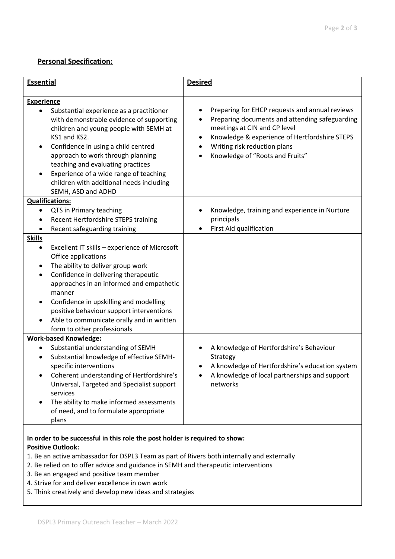## **Personal Specification:**

| <b>Essential</b>                                                                                                                                                                                                                                                                                                                                                                                                                                                                  | <b>Desired</b>                                                                                                                                                                                                                                                                                           |
|-----------------------------------------------------------------------------------------------------------------------------------------------------------------------------------------------------------------------------------------------------------------------------------------------------------------------------------------------------------------------------------------------------------------------------------------------------------------------------------|----------------------------------------------------------------------------------------------------------------------------------------------------------------------------------------------------------------------------------------------------------------------------------------------------------|
| <b>Experience</b><br>Substantial experience as a practitioner<br>٠<br>with demonstrable evidence of supporting<br>children and young people with SEMH at<br>KS1 and KS2.<br>Confidence in using a child centred<br>٠<br>approach to work through planning<br>teaching and evaluating practices<br>Experience of a wide range of teaching<br>children with additional needs including<br>SEMH, ASD and ADHD                                                                        | Preparing for EHCP requests and annual reviews<br>$\bullet$<br>Preparing documents and attending safeguarding<br>meetings at CIN and CP level<br>Knowledge & experience of Hertfordshire STEPS<br>$\bullet$<br>Writing risk reduction plans<br>$\bullet$<br>Knowledge of "Roots and Fruits"<br>$\bullet$ |
| <b>Qualifications:</b><br>QTS in Primary teaching<br>٠<br>Recent Hertfordshire STEPS training<br>Recent safeguarding training<br><b>Skills</b><br>Excellent IT skills - experience of Microsoft<br>$\bullet$<br>Office applications<br>The ability to deliver group work<br>٠<br>Confidence in delivering therapeutic<br>٠<br>approaches in an informed and empathetic<br>manner<br>Confidence in upskilling and modelling<br>٠                                                   | Knowledge, training and experience in Nurture<br>principals<br>First Aid qualification                                                                                                                                                                                                                   |
| positive behaviour support interventions<br>Able to communicate orally and in written<br>form to other professionals<br><b>Work-based Knowledge:</b><br>Substantial understanding of SEMH<br>Substantial knowledge of effective SEMH-<br>specific interventions<br>Coherent understanding of Hertfordshire's<br>Universal, Targeted and Specialist support<br>services<br>The ability to make informed assessments<br>$\bullet$<br>of need, and to formulate appropriate<br>plans | A knowledge of Hertfordshire's Behaviour<br>Strategy<br>A knowledge of Hertfordshire's education system<br>A knowledge of local partnerships and support<br>networks                                                                                                                                     |

#### **In order to be successful in this role the post holder is required to show: Positive Outlook:**

- 1. Be an active ambassador for DSPL3 Team as part of Rivers both internally and externally
- 2. Be relied on to offer advice and guidance in SEMH and therapeutic interventions
- 3. Be an engaged and positive team member
- 4. Strive for and deliver excellence in own work
- 5. Think creatively and develop new ideas and strategies